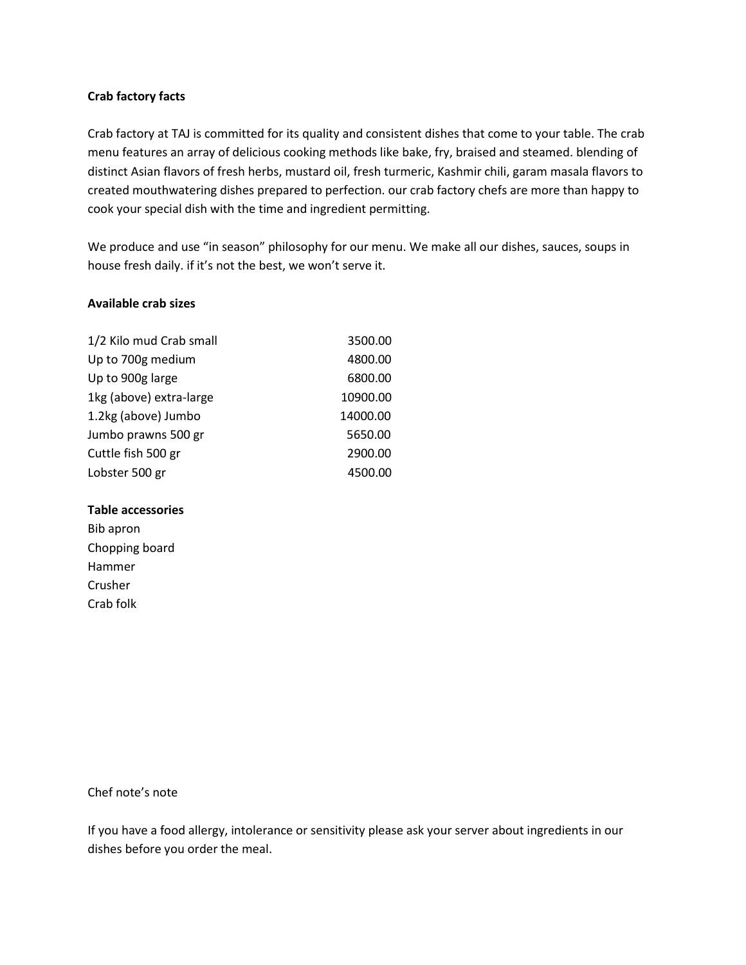### **Crab factory facts**

Crab factory at TAJ is committed for its quality and consistent dishes that come to your table. The crab menu features an array of delicious cooking methods like bake, fry, braised and steamed. blending of distinct Asian flavors of fresh herbs, mustard oil, fresh turmeric, Kashmir chili, garam masala flavors to created mouthwatering dishes prepared to perfection. our crab factory chefs are more than happy to cook your special dish with the time and ingredient permitting.

We produce and use "in season" philosophy for our menu. We make all our dishes, sauces, soups in house fresh daily. if it's not the best, we won't serve it.

### **Available crab sizes**

| 1/2 Kilo mud Crab small | 3500.00  |
|-------------------------|----------|
| Up to 700g medium       | 4800.00  |
| Up to 900g large        | 6800.00  |
| 1kg (above) extra-large | 10900.00 |
| 1.2kg (above) Jumbo     | 14000.00 |
| Jumbo prawns 500 gr     | 5650.00  |
| Cuttle fish 500 gr      | 2900.00  |
| Lobster 500 gr          | 4500.00  |

#### **Table accessories**

Bib apron Chopping board Hammer Crusher Crab folk

### Chef note's note

If you have a food allergy, intolerance or sensitivity please ask your server about ingredients in our dishes before you order the meal.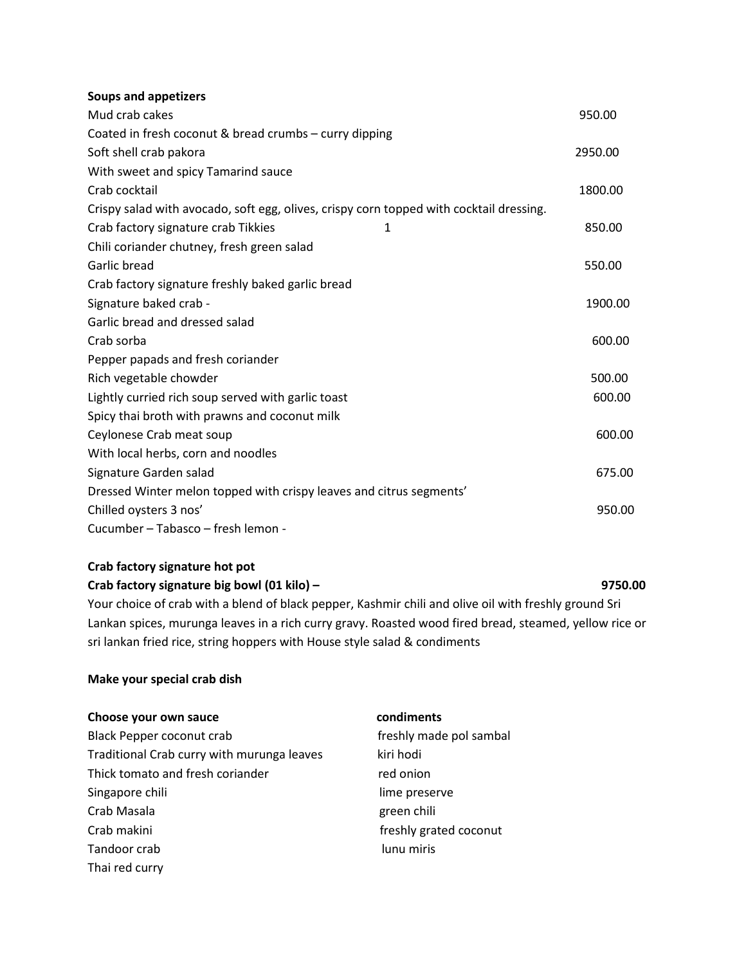### **Soups and appetizers**

| Mud crab cakes                                                                          | 950.00  |
|-----------------------------------------------------------------------------------------|---------|
| Coated in fresh coconut & bread crumbs - curry dipping                                  |         |
| Soft shell crab pakora                                                                  | 2950.00 |
| With sweet and spicy Tamarind sauce                                                     |         |
| Crab cocktail                                                                           | 1800.00 |
| Crispy salad with avocado, soft egg, olives, crispy corn topped with cocktail dressing. |         |
| Crab factory signature crab Tikkies<br>1                                                | 850.00  |
| Chili coriander chutney, fresh green salad                                              |         |
| Garlic bread                                                                            | 550.00  |
| Crab factory signature freshly baked garlic bread                                       |         |
| Signature baked crab -                                                                  | 1900.00 |
| Garlic bread and dressed salad                                                          |         |
| Crab sorba                                                                              | 600.00  |
| Pepper papads and fresh coriander                                                       |         |
| Rich vegetable chowder                                                                  | 500.00  |
| Lightly curried rich soup served with garlic toast                                      | 600.00  |
| Spicy thai broth with prawns and coconut milk                                           |         |
| Ceylonese Crab meat soup                                                                | 600.00  |
| With local herbs, corn and noodles                                                      |         |
| Signature Garden salad                                                                  | 675.00  |
| Dressed Winter melon topped with crispy leaves and citrus segments'                     |         |
| Chilled oysters 3 nos'                                                                  | 950.00  |
| Cucumber - Tabasco - fresh lemon -                                                      |         |

# **Crab factory signature hot pot**

# **Crab factory signature big bowl (01 kilo) – 9750.00** Your choice of crab with a blend of black pepper, Kashmir chili and olive oil with freshly ground Sri Lankan spices, murunga leaves in a rich curry gravy. Roasted wood fired bread, steamed, yellow rice or sri lankan fried rice, string hoppers with House style salad & condiments

### **Make your special crab dish**

| Choose your own sauce                      | condiments              |
|--------------------------------------------|-------------------------|
| Black Pepper coconut crab                  | freshly made pol sambal |
| Traditional Crab curry with murunga leaves | kiri hodi               |
| Thick tomato and fresh coriander           | red onion               |
| Singapore chili                            | lime preserve           |
| Crab Masala                                | green chili             |
| Crab makini                                | freshly grated coconut  |
| Tandoor crab                               | lunu miris              |
| Thai red curry                             |                         |